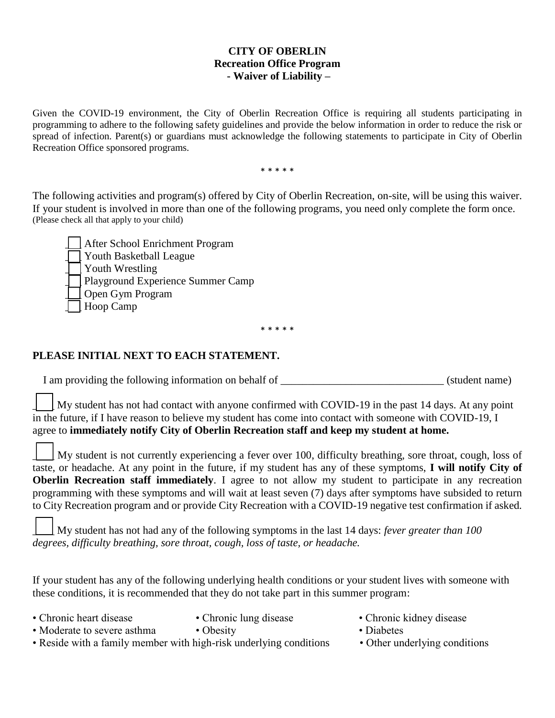## **CITY OF OBERLIN Recreation Office Program - Waiver of Liability –**

Given the COVID-19 environment, the City of Oberlin Recreation Office is requiring all students participating in programming to adhere to the following safety guidelines and provide the below information in order to reduce the risk or spread of infection. Parent(s) or guardians must acknowledge the following statements to participate in City of Oberlin Recreation Office sponsored programs.

\* \* \* \* \*

The following activities and program(s) offered by City of Oberlin Recreation, on-site, will be using this waiver. If your student is involved in more than one of the following programs, you need only complete the form once. (Please check all that apply to your child)

\_\_\_ After School Enrichment Program Youth Basketball League Youth Wrestling Playground Experience Summer Camp \_\_\_ Open Gym Program Hoop Camp

\* \* \* \* \*

## **PLEASE INITIAL NEXT TO EACH STATEMENT.**

I am providing the following information on behalf of \_\_\_\_\_\_\_\_\_\_\_\_\_\_\_\_\_\_\_\_\_\_\_\_\_\_\_\_\_\_ (student name)

My student has not had contact with anyone confirmed with COVID-19 in the past 14 days. At any point in the future, if I have reason to believe my student has come into contact with someone with COVID-19, I agree to **immediately notify City of Oberlin Recreation staff and keep my student at home.**

My student is not currently experiencing a fever over 100, difficulty breathing, sore throat, cough, loss of taste, or headache. At any point in the future, if my student has any of these symptoms, **I will notify City of Oberlin Recreation staff immediately**. I agree to not allow my student to participate in any recreation programming with these symptoms and will wait at least seven (7) days after symptoms have subsided to return to City Recreation program and or provide City Recreation with a COVID-19 negative test confirmation if asked.  $\Box$ 

\_\_\_\_ My student has not had any of the following symptoms in the last 14 days: *fever greater than 100 degrees, difficulty breathing, sore throat, cough, loss of taste, or headache.*

If your student has any of the following underlying health conditions or your student lives with someone with these conditions, it is recommended that they do not take part in this summer program:

- 
- 
- Chronic heart disease Chronic lung disease Chronic kidney disease
- Moderate to severe asthma Obesity Diabetes Diabetes
- Reside with a family member with high-risk underlying conditions Other underlying conditions
- -